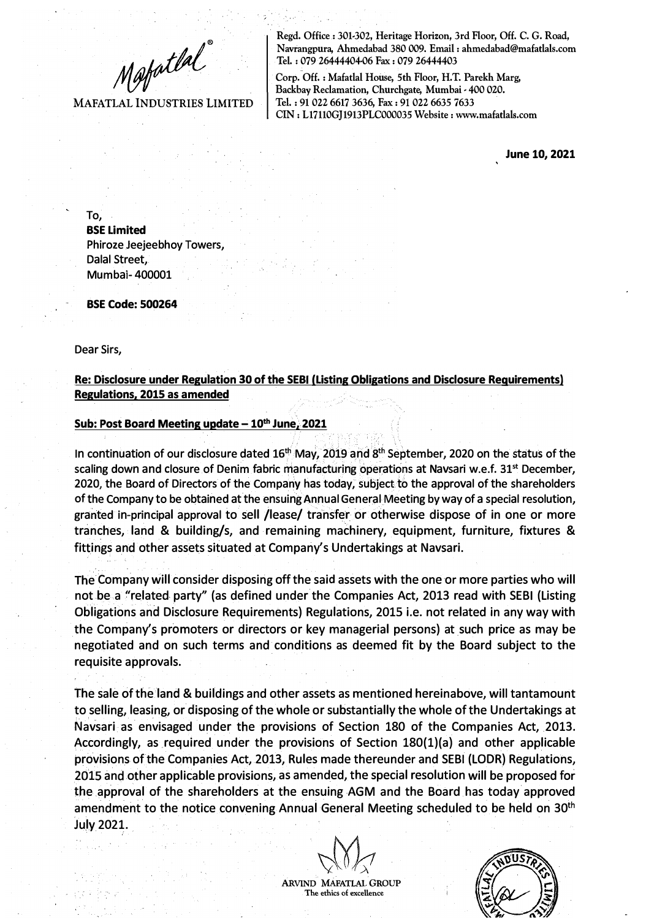$M$ afatlal

**MAFATLAL INDUSTRIES LIMITED** 

**· Regd. Office: 301-302-, Heritage Horizon, 3rd Floor, Off. C. G. Road, Navrangpura, Ahmedabad 380 009. Email : ahmedabad@mafatlals.com** Tel. : 079 26444404-06 Fax : 079 26444403

Corp. Off.: Mafatlal House, 5th Floor, H.T. Parekh Marg, Backbay Reclamation, Churchgate, Mumbai - 400 020. **Tel. : 91 02-2- 6617 3636, Fax: 91 02-2- 6635 7633 CIN : L17110GJ1913PLC000035 Website : www.mafatlals.com**

**June 10, 2021** 

To, **BSE Limited**  Phiroze Jeejeebhoy Towers, Dalal Street, Mumbai- 400001

**BSE Code: 500264** 

Dear Sirs,

**Re: Disclosure under Regulation 30 of the SEBI (Listing Obligations and Disclosure Requirements) Regulations. 2015 as amended** 

## Sub: Post Board Meeting update - 10<sup>th</sup> June, 2021

In continuation of our disclosure dated 16**th** May, 2019 and 8 **th** September, 2020 on the status of the scaling down and closure of Denim fabric manufacturing operations at Navsari w.e.f. 31**st** December, 2020, the Board of Directors of the Company has today, subject to the approval of the shareholders of the Company to be obtained at the ensuing Annual General Meeting by way of a special resolution, granted in-principal approval to sell /lease/ transfer or otherwise dispose of in one or more tranches, land & building/s, and remaining machinery, equipment, furniture, fixtures & fittings and other assets situated at Company's Undertakings at Navsari.

The Company will consider disposing off the said assets with the one or more parties who will not be a "related party" (as defined under the Companies Act, 2013 read with SEBI (Listing Obligations and Disclosure Requirements) Regulations, 2015 i.e. not related in any way with the Company's promoters or directors or key managerial persons) at such price as may be negotiated and on such terms and conditions as deemed fit by the Board subject to the requisite approvals.

The sale of the land & buildings and other assets as mentioned hereinabove, will tantamount to selling, leasing, or disposing of the whole or substantially the whole of the Undertakings at Navsari as envisaged under the provisions of Section 180 of the Companies Act, 2013. Accordingly, as required under the provisions of Section 180(1)(a) and other applicable provisions of the Companies Act, 2013, Rules made thereunder and SEBI (LODR) Regulations, 2015 and other applicable provisions, as amended, the special resolution will be proposed for the approval of the shareholders at the ensuing AGM and the Board has today approved amendment to the notice convening Annual General Meeting scheduled to be held on 30<sup>th</sup> July 2021.

**ARVIND MAFATIAL GROUP The ethics of excellence**